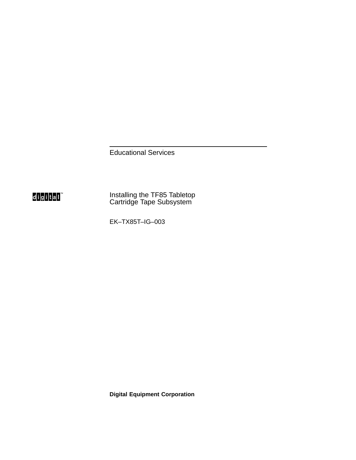Educational Services

# d<mark>igital</mark>

Installing the TF85 Tabletop Cartridge Tape Subsystem

EK–TX85T–IG–003

**Digital Equipment Corporation**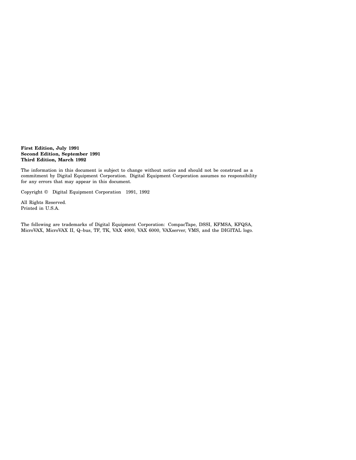**First Edition, July 1991 Second Edition, September 1991 Third Edition, March 1992**

The information in this document is subject to change without notice and should not be construed as a commitment by Digital Equipment Corporation. Digital Equipment Corporation assumes no responsibility for any errors that may appear in this document.

Copyright © Digital Equipment Corporation 1991, 1992

All Rights Reserved. Printed in U.S.A.

The following are trademarks of Digital Equipment Corporation: CompacTape, DSSI, KFMSA, KFQSA, MicroVAX, MicroVAX II, Q–bus, TF, TK, VAX 4000, VAX 6000, VAXserver, VMS, and the DIGITAL logo.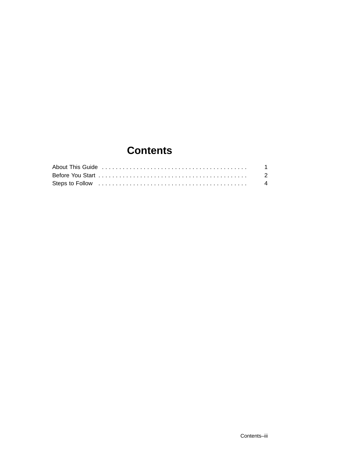# **Contents**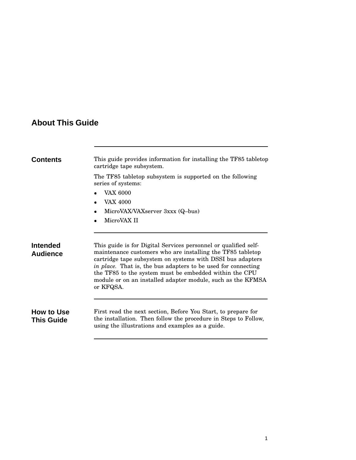# **About This Guide**

| Contents                               | This guide provides information for installing the TF85 tabletop<br>cartridge tape subsystem.                                                                                                                                                                                                                                                                                                      |  |  |  |
|----------------------------------------|----------------------------------------------------------------------------------------------------------------------------------------------------------------------------------------------------------------------------------------------------------------------------------------------------------------------------------------------------------------------------------------------------|--|--|--|
|                                        | The TF85 tabletop subsystem is supported on the following<br>series of systems:                                                                                                                                                                                                                                                                                                                    |  |  |  |
|                                        | <b>VAX 6000</b>                                                                                                                                                                                                                                                                                                                                                                                    |  |  |  |
|                                        | <b>VAX 4000</b><br>$\bullet$                                                                                                                                                                                                                                                                                                                                                                       |  |  |  |
|                                        | MicroVAX/VAXserver 3xxx (Q-bus)<br>$\bullet$                                                                                                                                                                                                                                                                                                                                                       |  |  |  |
|                                        | MicroVAX II                                                                                                                                                                                                                                                                                                                                                                                        |  |  |  |
| Intended<br><b>Audience</b>            | This guide is for Digital Services personnel or qualified self-<br>maintenance customers who are installing the TF85 tabletop<br>cartridge tape subsystem on systems with DSSI bus adapters<br>in place. That is, the bus adapters to be used for connecting<br>the TF85 to the system must be embedded within the CPU<br>module or on an installed adapter module, such as the KFMSA<br>or KFQSA. |  |  |  |
| <b>How to Use</b><br><b>This Guide</b> | First read the next section, Before You Start, to prepare for<br>the installation. Then follow the procedure in Steps to Follow,<br>using the illustrations and examples as a guide.                                                                                                                                                                                                               |  |  |  |
|                                        |                                                                                                                                                                                                                                                                                                                                                                                                    |  |  |  |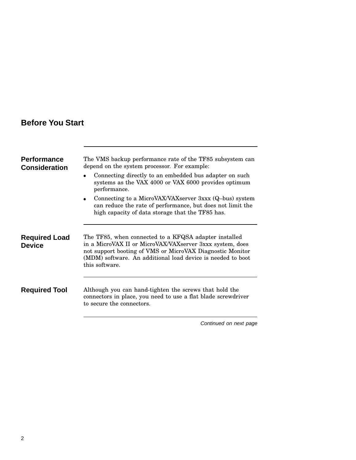# **Before You Start**

| <b>Performance</b><br><b>Consideration</b> | The VMS backup performance rate of the TF85 subsystem can<br>depend on the system processor. For example:<br>Connecting directly to an embedded bus adapter on such<br>systems as the VAX 4000 or VAX 6000 provides optimum<br>performance.                     |
|--------------------------------------------|-----------------------------------------------------------------------------------------------------------------------------------------------------------------------------------------------------------------------------------------------------------------|
|                                            | Connecting to a MicroVAX/VAXserver 3xxx (Q-bus) system<br>٠<br>can reduce the rate of performance, but does not limit the<br>high capacity of data storage that the TF85 has.                                                                                   |
| <b>Required Load</b><br><b>Device</b>      | The TF85, when connected to a KFQSA adapter installed<br>in a MicroVAX II or MicroVAX/VAXserver 3xxx system, does<br>not support booting of VMS or MicroVAX Diagnostic Monitor<br>(MDM) software. An additional load device is needed to boot<br>this software. |
| <b>Required Tool</b>                       | Although you can hand-tighten the screws that hold the<br>connectors in place, you need to use a flat blade screwdriver<br>to secure the connectors.                                                                                                            |
|                                            | Continued on next page                                                                                                                                                                                                                                          |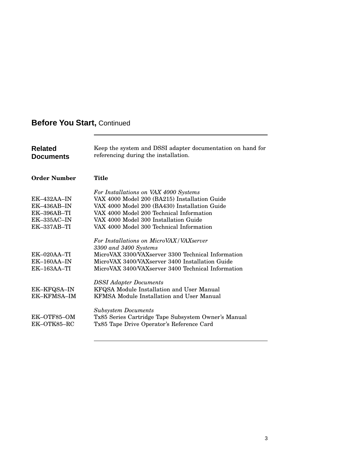# **Before You Start,** Continued

| <b>Related</b><br><b>Documents</b>              | Keep the system and DSSI adapter documentation on hand for<br>referencing during the installation.                                                                                                                              |  |  |
|-------------------------------------------------|---------------------------------------------------------------------------------------------------------------------------------------------------------------------------------------------------------------------------------|--|--|
| <b>Order Number</b>                             | Title                                                                                                                                                                                                                           |  |  |
|                                                 | For Installations on VAX 4000 Systems                                                                                                                                                                                           |  |  |
| $EK-432AA-IN$                                   | VAX 4000 Model 200 (BA215) Installation Guide                                                                                                                                                                                   |  |  |
| $EK-436AB-IN$                                   | VAX 4000 Model 200 (BA430) Installation Guide                                                                                                                                                                                   |  |  |
| $EK-396AB-TI$                                   | VAX 4000 Model 200 Technical Information                                                                                                                                                                                        |  |  |
| $EK-335AC-IN$                                   | VAX 4000 Model 300 Installation Guide                                                                                                                                                                                           |  |  |
| $EK-337AB-TI$                                   | VAX 4000 Model 300 Technical Information                                                                                                                                                                                        |  |  |
| $EK-020AA-TI$<br>$EK-160AA-IN$<br>$EK-163AA-TI$ | For Installations on MicroVAX/VAXserver<br>3300 and 3400 Systems<br>MicroVAX 3300/VAXserver 3300 Technical Information<br>MicroVAX 3400/VAXserver 3400 Installation Guide<br>MicroVAX 3400/VAXserver 3400 Technical Information |  |  |
| EK-KFQSA-IN<br>EK-KFMSA-IM                      | <b>DSSI</b> Adapter Documents<br>KFQSA Module Installation and User Manual<br><b>KFMSA Module Installation and User Manual</b>                                                                                                  |  |  |
| EK-OTF85-OM<br>EK-OTK85-RC                      | <b>Subsystem Documents</b><br>Tx85 Series Cartridge Tape Subsystem Owner's Manual<br>Tx85 Tape Drive Operator's Reference Card                                                                                                  |  |  |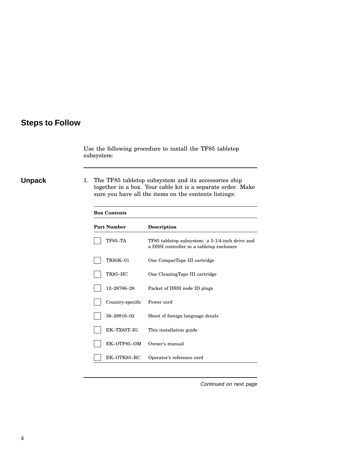### **Steps to Follow**

Use the following procedure to install the TF85 tabletop subsystem:

**Unpack** 1. The TF85 tabletop subsystem and its accessories ship together in a box. Your cable kit is a separate order. Make sure you have all the items on the contents listings:

| <b>Box Contents</b> |                                                                                              |  |  |  |
|---------------------|----------------------------------------------------------------------------------------------|--|--|--|
| <b>Part Number</b>  | Description                                                                                  |  |  |  |
| <b>TF85-TA</b>      | TF85 tabletop subsystem: a 5-1/4-inch drive and<br>a DSSI controller in a tabletop enclosure |  |  |  |
| TK85K-01            | One CompacTape III cartridge                                                                 |  |  |  |
| <b>TK85-HC</b>      | One CleaningTape III cartridge                                                               |  |  |  |
| 12-28766-28         | Packet of DSSI node ID plugs                                                                 |  |  |  |
| Country-specific    | Power cord                                                                                   |  |  |  |
| 36-28816-02         | Sheet of foreign language decals                                                             |  |  |  |
| $EK$ -TX85T-IG      | This installation guide                                                                      |  |  |  |
| EK-OTF85-OM         | Owner's manual                                                                               |  |  |  |
| EK-OTK85-RC         | Operator's reference card                                                                    |  |  |  |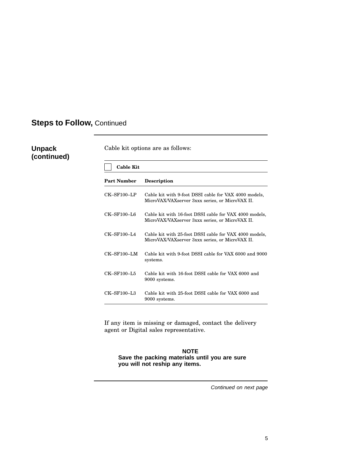### **Unpack (continued)**

Cable kit options are as follows:

| <b>Cable Kit</b>      |                                                                                                           |
|-----------------------|-----------------------------------------------------------------------------------------------------------|
| <b>Part Number</b>    | <b>Description</b>                                                                                        |
| $CK$ -SF100-LP        | Cable kit with 9-foot DSSI cable for VAX 4000 models,<br>MicroVAX/VAXserver 3xxx series, or MicroVAX II.  |
| $CK$ – $SF100$ –L6    | Cable kit with 16-foot DSSI cable for VAX 4000 models,<br>MicroVAX/VAXserver 3xxx series, or MicroVAX II. |
| $CK$ -SF100-L4        | Cable kit with 25-foot DSSI cable for VAX 4000 models,<br>MicroVAX/VAXserver 3xxx series, or MicroVAX II. |
| $CK$ – $SF100$ – $LM$ | Cable kit with 9-foot DSSI cable for VAX 6000 and 9000<br>systems.                                        |
| $CK$ -SF100-L5        | Cable kit with 16-foot DSSI cable for VAX 6000 and<br>9000 systems.                                       |
| $CK$ -SF100-L3        | Cable kit with 25-foot DSSI cable for VAX 6000 and<br>9000 systems.                                       |

If any item is missing or damaged, contact the delivery agent or Digital sales representative.

#### **NOTE Save the packing materials until you are sure you will not reship any items.**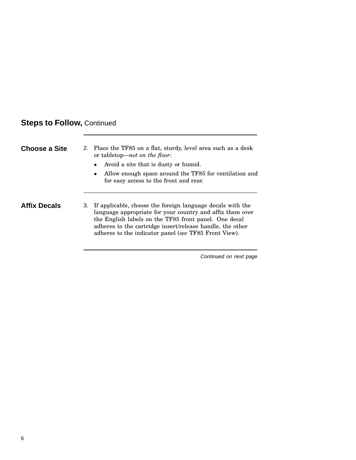| Choose a Site       | 2. Place the TF85 on a flat, sturdy, level area such as a desk<br>or tabletop— <i>not on the floor</i> :                   |
|---------------------|----------------------------------------------------------------------------------------------------------------------------|
|                     | • Avoid a site that is dusty or humid.                                                                                     |
|                     | • Allow enough space around the TF85 for ventilation and<br>for easy access to the front and rear.                         |
| <b>Affix Decals</b> | 3. If applicable, choose the foreign language decals with the<br>language appropriate for your country and affix them over |

language appropriate for your country and affix them over the English labels on the TF85 front panel. One decal adheres to the cartridge insert/release handle, the other adheres to the indicator panel (*see* TF85 Front View).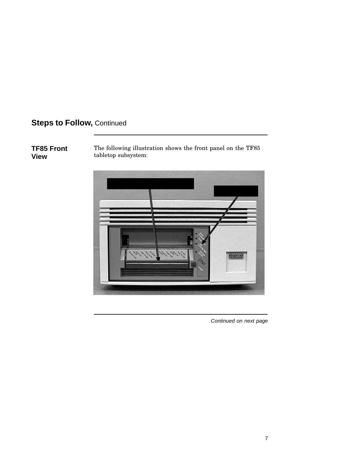### **TF85 Front View**

The following illustration shows the front panel on the TF85 tabletop subsystem:

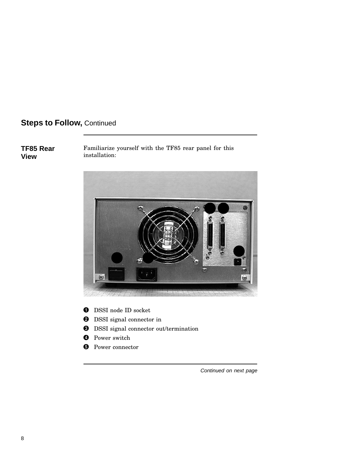### **TF85 Rear View**

Familiarize yourself with the TF85 rear panel for this installation:



- $\bullet$  DSSI node ID socket
- **2** DSSI signal connector in
- **O** DSSI signal connector out/termination
- **O** Power switch
- **O** Power connector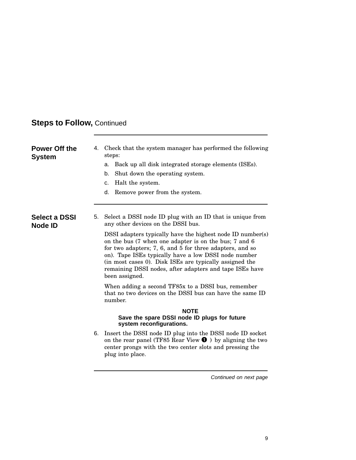| <b>Power Off the</b><br>System         | 4. | Check that the system manager has performed the following<br>steps:                                                                                                                                                                                                                                                                                                             |
|----------------------------------------|----|---------------------------------------------------------------------------------------------------------------------------------------------------------------------------------------------------------------------------------------------------------------------------------------------------------------------------------------------------------------------------------|
|                                        |    | Back up all disk integrated storage elements (ISEs).<br>a.                                                                                                                                                                                                                                                                                                                      |
|                                        |    | Shut down the operating system.<br>b.                                                                                                                                                                                                                                                                                                                                           |
|                                        |    | Halt the system.<br>C.                                                                                                                                                                                                                                                                                                                                                          |
|                                        |    | Remove power from the system.<br>d.                                                                                                                                                                                                                                                                                                                                             |
| <b>Select a DSSI</b><br><b>Node ID</b> | 5. | Select a DSSI node ID plug with an ID that is unique from<br>any other devices on the DSSI bus.                                                                                                                                                                                                                                                                                 |
|                                        |    | DSSI adapters typically have the highest node ID number(s)<br>on the bus (7 when one adapter is on the bus; 7 and 6<br>for two adapters; 7, 6, and 5 for three adapters, and so<br>on). Tape ISEs typically have a low DSSI node number<br>(in most cases 0). Disk ISEs are typically assigned the<br>remaining DSSI nodes, after adapters and tape ISEs have<br>been assigned. |
|                                        |    | When adding a second TF85x to a DSSI bus, remember<br>that no two devices on the DSSI bus can have the same ID<br>number.                                                                                                                                                                                                                                                       |
|                                        |    | <b>NOTE</b><br>Save the spare DSSI node ID plugs for future<br>system reconfigurations.                                                                                                                                                                                                                                                                                         |
|                                        | 6. | Insert the DSSI node ID plug into the DSSI node ID socket<br>on the rear panel (TF85 Rear View $\bullet$ ) by aligning the two<br>center prongs with the two center slots and pressing the<br>plug into place.                                                                                                                                                                  |
|                                        |    |                                                                                                                                                                                                                                                                                                                                                                                 |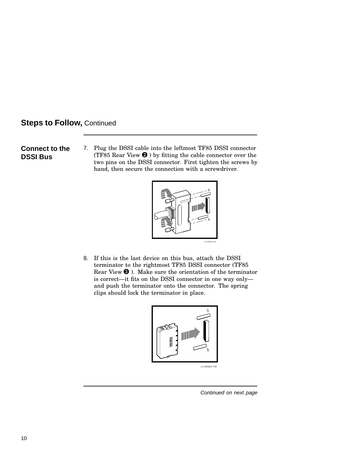#### **Connect to the DSSI Bus**

7. Plug the DSSI cable into the leftmost TF85 DSSI connector (TF85 Rear View  $\bullet$  ) by fitting the cable connector over the two pins on the DSSI connector. First tighten the screws by hand, then secure the connection with a screwdriver.



8. If this is the last device on this bus, attach the DSSI terminator to the rightmost TF85 DSSI connector (TF85 Rear View  $\boldsymbol{0}$  ). Make sure the orientation of the terminator is correct—it fits on the DSSI connector in one way only and push the terminator onto the connector. The spring clips should lock the terminator in place.

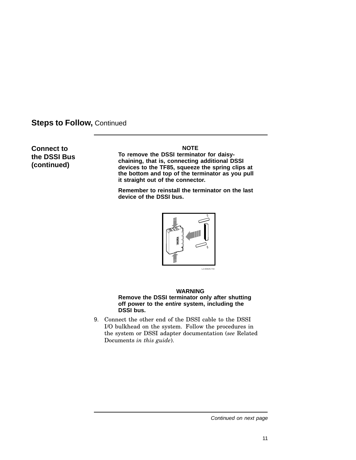**Connect to the DSSI Bus (continued)**

#### **NOTE**

**To remove the DSSI terminator for daisychaining, that is, connecting additional DSSI devices to the TF85, squeeze the spring clips at the bottom and top of the terminator as you pull it straight out of the connector.**

**Remember to reinstall the terminator on the last device of the DSSI bus.**



#### **WARNING Remove the DSSI terminator only after shutting off power to the entire system, including the DSSI bus.**

9. Connect the other end of the DSSI cable to the DSSI I/O bulkhead on the system. Follow the procedures in the system or DSSI adapter documentation (*see* Related Documents *in this guide*).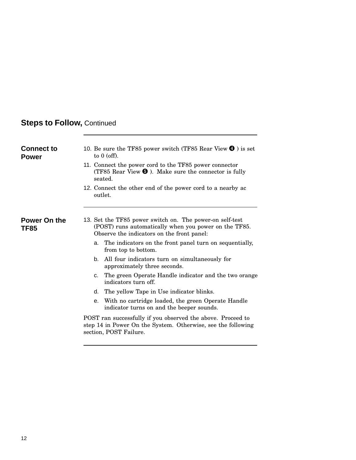| <b>Connect to</b><br><b>Power</b> | 10. Be sure the TF85 power switch (TF85 Rear View $\bullet$ ) is set<br>to $0$ (off).<br>11. Connect the power cord to the TF85 power connector<br>(TF85 Rear View $\Theta$ ). Make sure the connector is fully<br>seated. |  |  |  |  |
|-----------------------------------|----------------------------------------------------------------------------------------------------------------------------------------------------------------------------------------------------------------------------|--|--|--|--|
|                                   | 12. Connect the other end of the power cord to a nearby ac<br>outlet.                                                                                                                                                      |  |  |  |  |
| Power On the<br><b>TF85</b>       | 13. Set the TF85 power switch on. The power-on self-test<br>(POST) runs automatically when you power on the TF85.<br>Observe the indicators on the front panel:                                                            |  |  |  |  |
|                                   | The indicators on the front panel turn on sequentially,<br>a.<br>from top to bottom.                                                                                                                                       |  |  |  |  |
|                                   | All four indicators turn on simultaneously for<br>b.<br>approximately three seconds.                                                                                                                                       |  |  |  |  |
|                                   | The green Operate Handle indicator and the two orange<br>c.<br>indicators turn off.                                                                                                                                        |  |  |  |  |
|                                   | The yellow Tape in Use indicator blinks.<br>d.                                                                                                                                                                             |  |  |  |  |
|                                   | With no cartridge loaded, the green Operate Handle<br>е.<br>indicator turns on and the beeper sounds.                                                                                                                      |  |  |  |  |
|                                   | POST ran successfully if you observed the above. Proceed to<br>step 14 in Power On the System. Otherwise, see the following<br>section, POST Failure.                                                                      |  |  |  |  |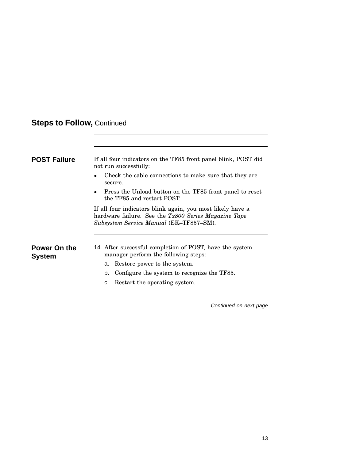| <b>POST Failure</b>           | If all four indicators on the TF85 front panel blink, POST did<br>not run successfully:                                                                       |  |  |  |  |  |
|-------------------------------|---------------------------------------------------------------------------------------------------------------------------------------------------------------|--|--|--|--|--|
|                               | Check the cable connections to make sure that they are<br>secure.                                                                                             |  |  |  |  |  |
|                               | Press the Unload button on the TF85 front panel to reset<br>the TF85 and restart POST.                                                                        |  |  |  |  |  |
|                               | If all four indicators blink again, you most likely have a<br>hardware failure. See the Tx800 Series Magazine Tape<br>Subsystem Service Manual (EK-TF857-SM). |  |  |  |  |  |
| Power On the<br><b>System</b> | 14. After successful completion of POST, have the system<br>manager perform the following steps:                                                              |  |  |  |  |  |
|                               | Restore power to the system.<br>а.                                                                                                                            |  |  |  |  |  |
|                               | Configure the system to recognize the TF85.<br>b.                                                                                                             |  |  |  |  |  |
|                               | Restart the operating system.<br>c.                                                                                                                           |  |  |  |  |  |
|                               |                                                                                                                                                               |  |  |  |  |  |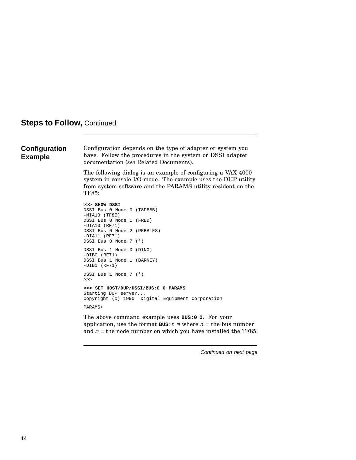#### **Configuration Example**

Configuration depends on the type of adapter or system you have. Follow the procedures in the system or DSSI adapter documentation (*see* Related Documents).

The following dialog is an example of configuring a VAX 4000 system in console I/O mode. The example uses the DUP utility from system software and the PARAMS utility resident on the TF85:

```
>>> SHOW DSSI
DSSI Bus 0 Node 0 (T8DBBB)
-MIA10 (TF85)
DSSI Bus 0 Node 1 (FRED)
-DIA10 (RF71)
DSSI Bus 0 Node 2 (PEBBLES)
-DIA11 (RF71)
DSSI Bus 0 Node 7 (*)
DSSI Bus 1 Node 0 (DINO)
-DIB0 (RF71)
DSSI Bus 1 Node 1 (BARNEY)
-DIB1 (RF71)
DSSI Bus 1 Node 7 (*)
>>>
>>> SET HOST/DUP/DSSI/BUS:0 0 PARAMS
Starting DUP server...
Copyright (c) 1990 Digital Equipment Corporation
PARAMS>
```
The above command example uses **BUS:0 0**. For your application, use the format  $\texttt{BUS}:n \text{ m}$  where  $n =$  the bus number and  $m =$  the node number on which you have installed the TF85.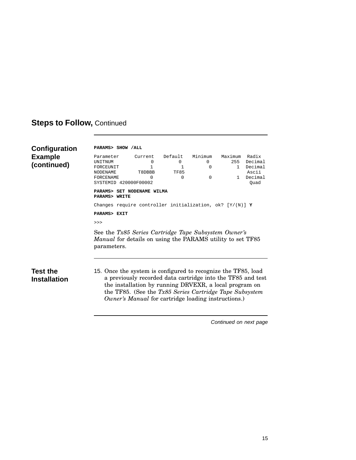| Configuration<br><b>Example</b><br>(continued) | PARAMS> SHOW / ALL<br>Parameter<br>UNITNUM<br>FORCEUNIT<br><b>NODENAME</b><br>FORCENAME<br>SYSTEMID 420000F00002                                                                                                                                                                                                  | Current<br>$\Omega$<br>$\mathbf{1}$<br>T8DBBB<br>$\Omega$ | Default<br>$\Omega$<br>1<br><b>TF85</b><br>0 | Minimum<br>0<br>0<br>0 | Maximum<br>255<br>$\mathbf{1}$<br>$\mathbf{1}$ | Radix<br>Decimal<br>Decimal<br>Ascii<br>Decimal<br>Ouad |  |
|------------------------------------------------|-------------------------------------------------------------------------------------------------------------------------------------------------------------------------------------------------------------------------------------------------------------------------------------------------------------------|-----------------------------------------------------------|----------------------------------------------|------------------------|------------------------------------------------|---------------------------------------------------------|--|
|                                                | PARAMS> SET NODENAME WILMA<br>PARAMS> WRITE                                                                                                                                                                                                                                                                       |                                                           |                                              |                        |                                                |                                                         |  |
|                                                | Changes require controller initialization, ok? $[Y/(N)]$ Y                                                                                                                                                                                                                                                        |                                                           |                                              |                        |                                                |                                                         |  |
|                                                | PARAMS> EXIT                                                                                                                                                                                                                                                                                                      |                                                           |                                              |                        |                                                |                                                         |  |
|                                                | >>                                                                                                                                                                                                                                                                                                                |                                                           |                                              |                        |                                                |                                                         |  |
|                                                | See the Tx85 Series Cartridge Tape Subsystem Owner's<br><i>Manual</i> for details on using the PARAMS utility to set TF85<br>parameters.                                                                                                                                                                          |                                                           |                                              |                        |                                                |                                                         |  |
| <b>Test the</b><br><b>Installation</b>         | 15. Once the system is configured to recognize the TF85, load<br>a previously recorded data cartridge into the TF85 and test<br>the installation by running DRVEXR, a local program on<br>the TF85. (See the $Tx85$ Series Cartridge Tape Subsystem<br><i>Owner's Manual</i> for cartridge loading instructions.) |                                                           |                                              |                        |                                                |                                                         |  |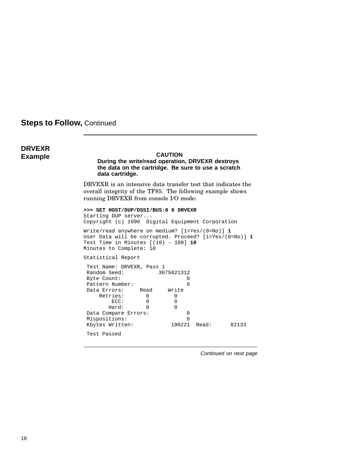### **DRVEXR Example CAUTION**

#### **During the write/read operation, DRVEXR destroys the data on the cartridge. Be sure to use a scratch data cartridge.**

DRVEXR is an intensive data transfer test that indicates the overall integrity of the TF85. The following example shows running DRVEXR from console I/O mode:

**>>> SET HOST/DUP/DSSI/BUS:0 0 DRVEXR** Starting DUP server... Copyright (c) 1990 Digital Equipment Corporation Write/read anywhere on medium? [1=Yes/(0=No)] **1**

User Data will be corrupted. Proceed? [1=Yes/(0=No)] **1** Test Time in Minutes [(10) - 100] **10** Minutes to Complete: 10

Statistical Report

| Test Name: DRVEXR, Pass 1 |      |            |       |       |
|---------------------------|------|------------|-------|-------|
| Random Seed:              |      | 3075021312 |       |       |
| Byte Count:               |      |            |       |       |
| Pattern Number:           |      | 9          |       |       |
| Data Errors:              | Read | Write      |       |       |
| Retries:                  | 0    | O          |       |       |
| ECC:                      |      | $\Omega$   |       |       |
| Hard:                     |      | $\Omega$   |       |       |
| Data Compare Errors:      |      | O          |       |       |
| Mispositions:             |      | O          |       |       |
| Kbytes Written:           |      | 190221     | Read: | 82133 |
| Test Passed               |      |            |       |       |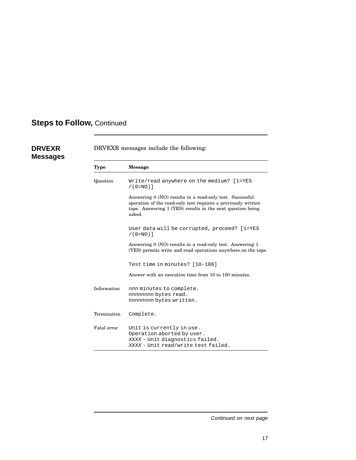**DRVEXR Messages**

| <b>Type</b> | <b>Message</b>                                                                                                                                                                                    |  |
|-------------|---------------------------------------------------------------------------------------------------------------------------------------------------------------------------------------------------|--|
| Question    | Write/read anywhere on the medium? [1=YES<br>$/(0=NO)$ ]                                                                                                                                          |  |
|             | Answering 0 (NO) results in a read-only test. Successful<br>operation of the read-only test requires a previously written<br>tape. Answering 1 (YES) results in the next question being<br>asked. |  |
|             | User data will be corrupted, proceed? [1=YES<br>$/(0 = NO)$ ]                                                                                                                                     |  |
|             | Answering 0 (NO) results in a read-only test. Answering 1<br>(YES) permits write and read operations anywhere on the tape.                                                                        |  |
|             | Test time in minutes? [10-100]                                                                                                                                                                    |  |
|             | Answer with an execution time from 10 to 100 minutes.                                                                                                                                             |  |
| Information | nnn minutes to complete.<br>nnnnnnnn bytes read.<br>nnnnnnnn bytes written.                                                                                                                       |  |
| Termination | Complete.                                                                                                                                                                                         |  |
| Fatal error | Unit is currently in use.<br>Operation aborted by user.<br>XXXX - Unit diagnostics failed.<br>XXXX - Unit read/write test failed.                                                                 |  |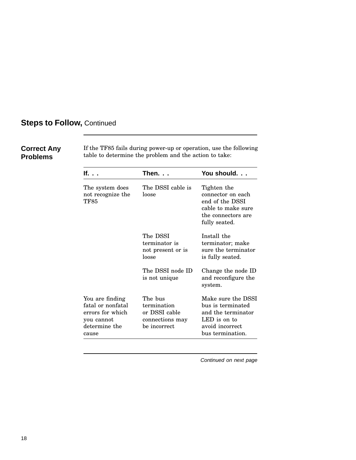### **Correct Any Problems**

If the TF85 fails during power-up or operation, use the following table to determine the problem and the action to take:

| lf.                                                                                              | Then.                                                                      | You should.                                                                                                          |
|--------------------------------------------------------------------------------------------------|----------------------------------------------------------------------------|----------------------------------------------------------------------------------------------------------------------|
| The system does<br>not recognize the<br>TF85                                                     | The DSSI cable is<br>loose                                                 | Tighten the<br>connector on each<br>end of the DSSI<br>cable to make sure<br>the connectors are<br>fully seated.     |
|                                                                                                  | The DSSI<br>terminator is<br>not present or is<br>loose                    | Install the<br>terminator; make<br>sure the terminator<br>is fully seated.                                           |
|                                                                                                  | The DSSI node ID<br>is not unique                                          | Change the node ID<br>and reconfigure the<br>system.                                                                 |
| You are finding<br>fatal or nonfatal<br>errors for which<br>you cannot<br>determine the<br>cause | The bus<br>termination<br>or DSSI cable<br>connections may<br>be incorrect | Make sure the DSSI<br>bus is terminated<br>and the terminator<br>LED is on to<br>avoid incorrect<br>bus termination. |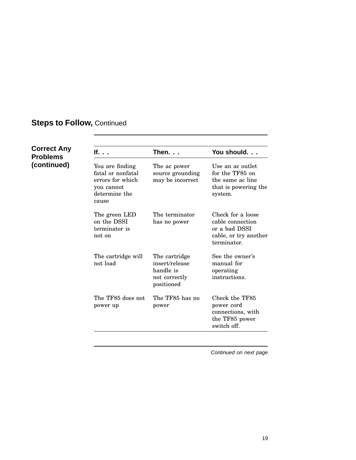#### **Correct Any Problems (continued) If. . . Then. . . You should. . .** You are finding fatal or nonfatal errors for which you cannot determine the cause The ac power source grounding may be incorrect Use an ac outlet for the TF85 on the same ac line that is powering the system. The green LED on the DSSI terminator is not on The terminator has no power Check for a loose cable connection or a bad DSSI cable, or try another terminator. The cartridge will not load The cartridge insert/release handle is not correctly positioned See the owner's manual for operating instructions. The TF85 does not power up The TF85 has no power Check the TF85 power cord connections, with the TF85 power switch off.